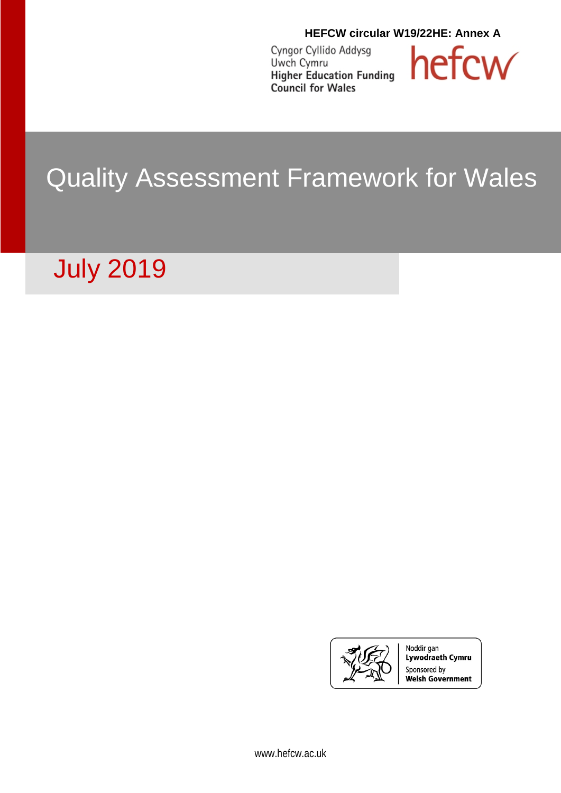**HEFCW circular W19/22HE: Annex A**

Cyngor Cyllido Addysg Uwch Cymru<br>Higher Education Funding **Council for Wales** 



## Quality Assessment Framework for Wales

# July 2019



Noddir gan Lywodraeth Cymru Sponsored by Welsh Government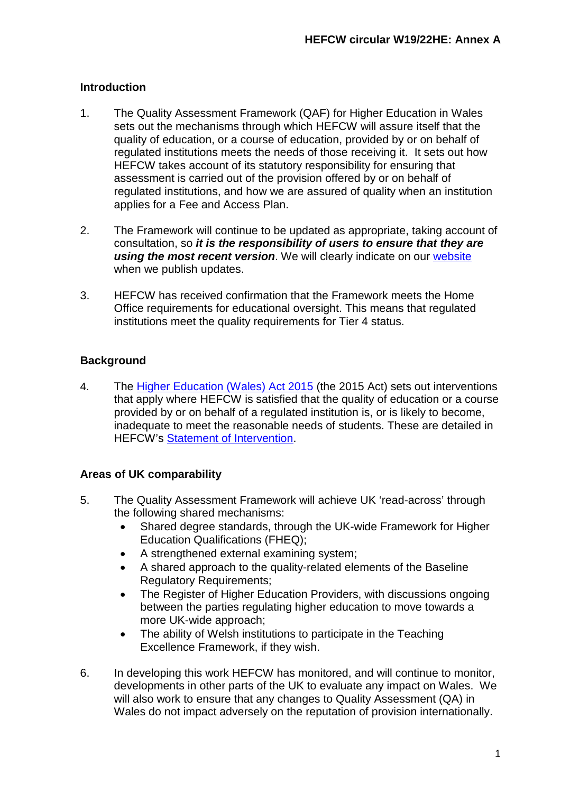## **Introduction**

- 1. The Quality Assessment Framework (QAF) for Higher Education in Wales sets out the mechanisms through which HEFCW will assure itself that the quality of education, or a course of education, provided by or on behalf of regulated institutions meets the needs of those receiving it. It sets out how HEFCW takes account of its statutory responsibility for ensuring that assessment is carried out of the provision offered by or on behalf of regulated institutions, and how we are assured of quality when an institution applies for a Fee and Access Plan.
- 2. The Framework will continue to be updated as appropriate, taking account of consultation, so *it is the responsibility of users to ensure that they are*  **using the most recent version**. We will clearly indicate on our [website](http://www.hefcw.ac.uk/policy_areas/learning_and_teaching/qa_fa_wa.aspx) when we publish updates.
- 3. HEFCW has received confirmation that the Framework meets the Home Office requirements for educational oversight. This means that regulated institutions meet the quality requirements for Tier 4 status.

## **Background**

4. The [Higher Education \(Wales\) Act 2015](http://www.legislation.gov.uk/anaw/2015/1/pdfs/anaw_20150001_en.pdf) (the 2015 Act) sets out interventions that apply where HEFCW is satisfied that the quality of education or a course provided by or on behalf of a regulated institution is, or is likely to become, inadequate to meet the reasonable needs of students. These are detailed in HEFCW's [Statement of Intervention.](http://www.hefcw.ac.uk/documents/publications/circulars/circulars_2016/W16%2037HE%20Annex%20B%20Full%20Statement%20of%20Intervention.pdf)

## **Areas of UK comparability**

- 5. The Quality Assessment Framework will achieve UK 'read-across' through the following shared mechanisms:
	- Shared degree standards, through the UK-wide Framework for Higher Education Qualifications [\(FHEQ\)](http://www.qaa.ac.uk/publications/information-and-guidance/publication?PubID=2718#.WZbz7WxK1aR);
	- A strengthened external examining system;
	- A shared approach to the quality-related elements of the Baseline Regulatory Requirements;
	- The Register [of Higher Education Providers,](http://www.hefce.ac.uk/reg/register/) with discussions ongoing between the parties regulating higher education to move towards a more UK-wide approach;
	- The ability of Welsh institutions to participate in the Teaching Excellence Framework, if they wish.
- 6. In developing this work HEFCW has monitored, and will continue to monitor, developments in other parts of the UK to evaluate any impact on Wales. We will also work to ensure that any changes to Quality Assessment (QA) in Wales do not impact adversely on the reputation of provision internationally.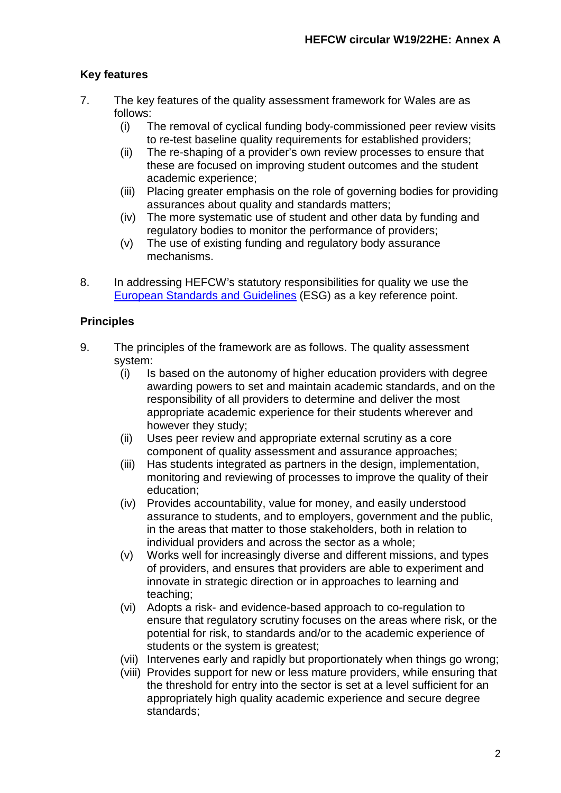## **Key features**

- 7. The key features of the quality assessment framework for Wales are as follows:
	- (i) The removal of cyclical funding body-commissioned peer review visits to re-test baseline quality requirements for established providers;
	- (ii) The re-shaping of a provider's own review processes to ensure that these are focused on improving student outcomes and the student academic experience;
	- (iii) Placing greater emphasis on the role of governing bodies for providing assurances about quality and standards matters;
	- (iv) The more systematic use of student and other data by funding and regulatory bodies to monitor the performance of providers;
	- (v) The use of existing funding and regulatory body assurance mechanisms.
- 8. In addressing HEFCW's statutory responsibilities for quality we use the [European Standards and Guidelines](https://enqa.eu/wp-content/uploads/2015/11/ESG_2015.pdf) (ESG) as a key reference point.

## **Principles**

- 9. The principles of the framework are as follows. The quality assessment system:
	- (i) Is based on the autonomy of higher education providers with degree awarding powers to set and maintain academic standards, and on the responsibility of all providers to determine and deliver the most appropriate academic experience for their students wherever and however they study;
	- (ii) Uses peer review and appropriate external scrutiny as a core component of quality assessment and assurance approaches;
	- (iii) Has students integrated as partners in the design, implementation, monitoring and reviewing of processes to improve the quality of their education;
	- (iv) Provides accountability, value for money, and easily understood assurance to students, and to employers, government and the public, in the areas that matter to those stakeholders, both in relation to individual providers and across the sector as a whole;
	- (v) Works well for increasingly diverse and different missions, and types of providers, and ensures that providers are able to experiment and innovate in strategic direction or in approaches to learning and teaching;
	- (vi) Adopts a risk- and evidence-based approach to co-regulation to ensure that regulatory scrutiny focuses on the areas where risk, or the potential for risk, to standards and/or to the academic experience of students or the system is greatest;
	- (vii) Intervenes early and rapidly but proportionately when things go wrong;
	- (viii) Provides support for new or less mature providers, while ensuring that the threshold for entry into the sector is set at a level sufficient for an appropriately high quality academic experience and secure degree standards;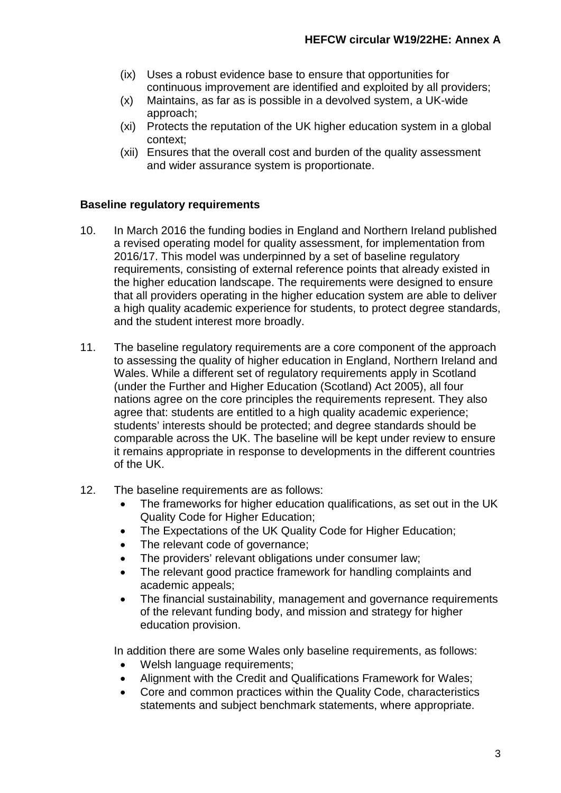- (ix) Uses a robust evidence base to ensure that opportunities for continuous improvement are identified and exploited by all providers;
- (x) Maintains, as far as is possible in a devolved system, a UK-wide approach;
- (xi) Protects the reputation of the UK higher education system in a global context;
- (xii) Ensures that the overall cost and burden of the quality assessment and wider assurance system is proportionate.

#### **Baseline regulatory requirements**

- 10. In March 2016 the funding bodies in England and Northern Ireland published a revised operating model for quality assessment, for implementation from 2016/17. This model was underpinned by a set of baseline regulatory requirements, consisting of external reference points that already existed in the higher education landscape. The requirements were designed to ensure that all providers operating in the higher education system are able to deliver a high quality academic experience for students, to protect degree standards, and the student interest more broadly.
- 11. The baseline regulatory requirements are a core component of the approach to assessing the quality of higher education in England, Northern Ireland and Wales. While a different set of regulatory requirements apply in Scotland (under the Further and Higher Education (Scotland) Act 2005), all four nations agree on the core principles the requirements represent. They also agree that: students are entitled to a high quality academic experience; students' interests should be protected; and degree standards should be comparable across the UK. The baseline will be kept under review to ensure it remains appropriate in response to developments in the different countries of the UK.
- 12. The baseline requirements are as follows:
	- The frameworks for higher education qualifications, as set out in the UK Quality Code for Higher Education;
	- The Expectations of the UK Quality Code for Higher Education:
	- The relevant code of governance;
	- The providers' relevant obligations under consumer law;
	- The relevant good practice framework for handling complaints and academic appeals;
	- The financial sustainability, management and governance requirements of the relevant funding body, and mission and strategy for higher education provision.

In addition there are some Wales only baseline requirements, as follows:

- Welsh language requirements;
- Alignment with the Credit and Qualifications Framework for Wales;
- Core and common practices within the Quality Code, characteristics statements and subject benchmark statements, where appropriate.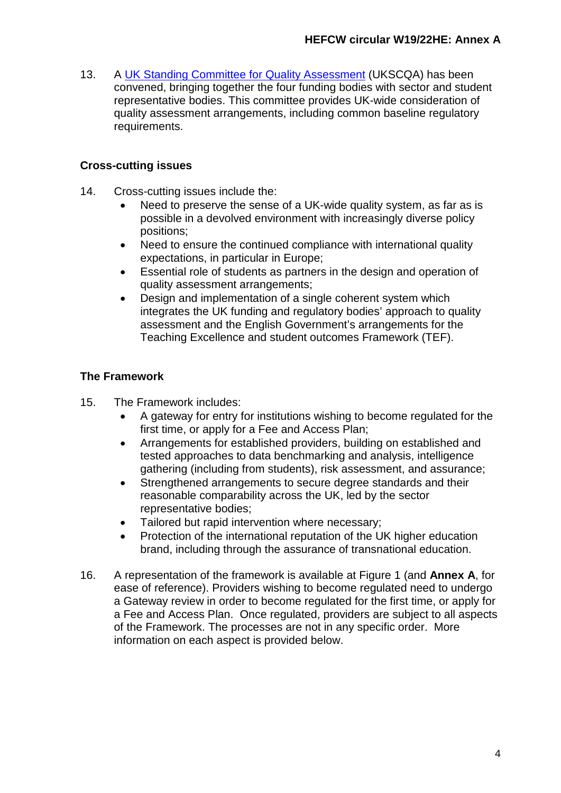13. A UK [Standing Committee for Quality Assessment](https://ukscqa.org.uk/) (UKSCQA) has been convened, bringing together the four funding bodies with sector and student representative bodies. This committee provides UK-wide consideration of quality assessment arrangements, including common baseline regulatory requirements.

### **Cross-cutting issues**

- 14. Cross-cutting issues include the:
	- Need to preserve the sense of a UK-wide quality system, as far as is possible in a devolved environment with increasingly diverse policy positions;
	- Need to ensure the continued compliance with international quality expectations, in particular in Europe;
	- Essential role of students as partners in the design and operation of quality assessment arrangements;
	- Design and implementation of a single coherent system which integrates the UK funding and regulatory bodies' approach to quality assessment and the English Government's arrangements for the Teaching Excellence and student outcomes Framework (TEF).

## **The Framework**

- 15. The Framework includes:
	- A gateway for entry for institutions wishing to become regulated for the first time, or apply for a Fee and Access Plan;
	- Arrangements for established providers, building on established and tested approaches to data benchmarking and analysis, intelligence gathering (including from students), risk assessment, and assurance;
	- Strengthened arrangements to secure degree standards and their reasonable comparability across the UK, led by the sector representative bodies;
	- Tailored but rapid intervention where necessary:
	- Protection of the international reputation of the UK higher education brand, including through the assurance of transnational education.
- 16. A representation of the framework is available at Figure 1 (and **Annex A**, for ease of reference). Providers wishing to become regulated need to undergo a Gateway review in order to become regulated for the first time, or apply for a Fee and Access Plan. Once regulated, providers are subject to all aspects of the Framework. The processes are not in any specific order. More information on each aspect is provided below.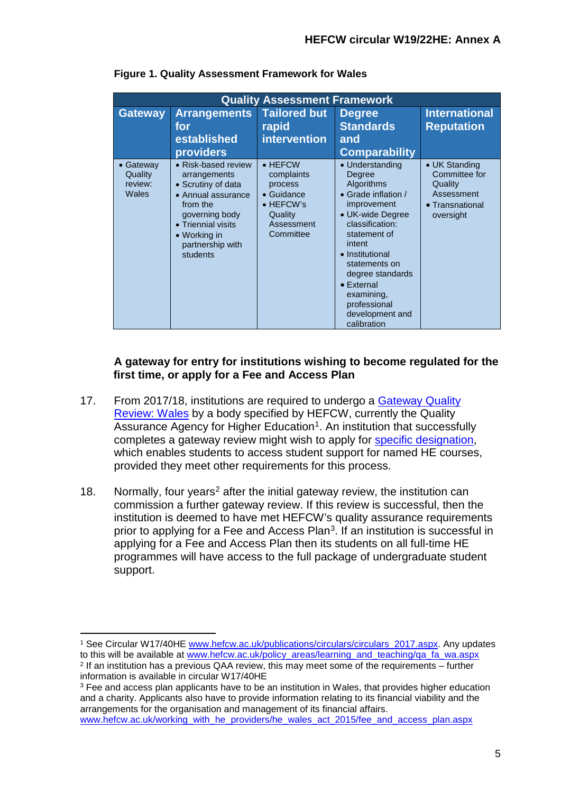| <b>Quality Assessment Framework</b>      |                                                                                                                                                                                     |                                                                                                                           |                                                                                                                                                                                                                                                                                              |                                                                                         |  |  |
|------------------------------------------|-------------------------------------------------------------------------------------------------------------------------------------------------------------------------------------|---------------------------------------------------------------------------------------------------------------------------|----------------------------------------------------------------------------------------------------------------------------------------------------------------------------------------------------------------------------------------------------------------------------------------------|-----------------------------------------------------------------------------------------|--|--|
| <b>Gateway</b>                           | <b>Arrangements</b><br>for<br>established<br>providers                                                                                                                              | <b>Tailored but</b><br>rapid<br><b>intervention</b>                                                                       | <b>Degree</b><br><b>Standards</b><br>and<br><b>Comparability</b>                                                                                                                                                                                                                             | <b>International</b><br><b>Reputation</b>                                               |  |  |
| • Gateway<br>Quality<br>review:<br>Wales | • Risk-based review<br>arrangements<br>• Scrutiny of data<br>• Annual assurance<br>from the<br>governing body<br>• Triennial visits<br>• Working in<br>partnership with<br>students | $\bullet$ HEFCW<br>complaints<br>process<br>$\bullet$ Guidance<br>$\bullet$ HEFCW's<br>Quality<br>Assessment<br>Committee | • Understanding<br>Degree<br>Algorithms<br>• Grade inflation /<br>improvement<br>• UK-wide Degree<br>classification:<br>statement of<br>intent<br>• Institutional<br>statements on<br>degree standards<br>$\bullet$ External<br>examining,<br>professional<br>development and<br>calibration | • UK Standing<br>Committee for<br>Quality<br>Assessment<br>• Transnational<br>oversight |  |  |

**Figure 1. Quality Assessment Framework for Wales**

#### **A gateway for entry for institutions wishing to become regulated for the first time, or apply for a Fee and Access Plan**

- 17. From 2017/18, institutions are required to undergo a [Gateway](https://www.qaa.ac.uk/reviewing-higher-education/types-of-review/gateway-quality-review-wales) Quality [Review: Wales](https://www.qaa.ac.uk/reviewing-higher-education/types-of-review/gateway-quality-review-wales) by a body specified by HEFCW, currently the Quality Assurance Agency for Higher Education<sup>1</sup>. An institution that successfully completes a gateway review might wish to apply for [specific designation,](https://www.hefcw.ac.uk/working_with_he_providers/he_wales_act_2015/course_designation.aspx) which enables students to access student support for named HE courses, provided they meet other requirements for this process.
- 18. Normally, four years<sup>[2](#page-5-1)</sup> after the initial gateway review, the institution can commission a further gateway review. If this review is successful, then the institution is deemed to have met HEFCW's quality assurance requirements prior to applying for a Fee and Access Plan<sup>[3](#page-5-2)</sup>. If an institution is successful in applying for a Fee and Access Plan then its students on all full-time HE programmes will have access to the full package of undergraduate student support.

```
www.hefcw.ac.uk/working_with_he_providers/he_wales_act_2015/fee_and_access_plan.aspx
```
<span id="page-5-0"></span><sup>&</sup>lt;sup>1</sup> See Circular W17/40HE [www.hefcw.ac.uk/publications/circulars/circulars\\_2017.aspx.](http://www.hefcw.ac.uk/publications/circulars/circulars_2017.aspx) Any updates<br>to this will be available at www.hefcw.ac.uk/policy areas/learning and teaching/ga fa wa.aspx

<span id="page-5-1"></span><sup>&</sup>lt;sup>2</sup> If an institution has a previous QAA review. this may meet some of the requirements – further information is available in circular W17/40HE

<span id="page-5-2"></span><sup>&</sup>lt;sup>3</sup> Fee and access plan applicants have to be an institution in Wales, that provides higher education and a charity. Applicants also have to provide information relating to its financial viability and the arrangements for the organisation and management of its financial affairs.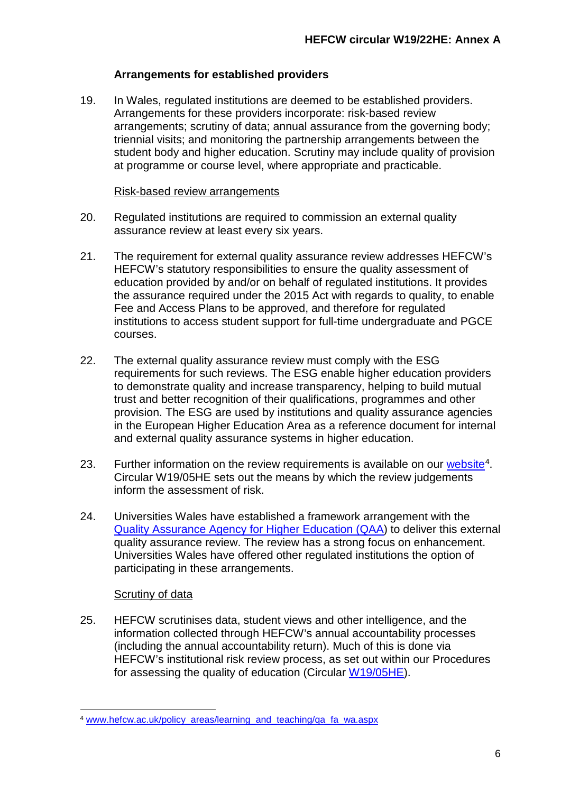## **Arrangements for established providers**

19. In Wales, regulated institutions are deemed to be established providers. Arrangements for these providers incorporate: risk-based review arrangements; scrutiny of data; annual assurance from the governing body; triennial visits; and monitoring the partnership arrangements between the student body and higher education. Scrutiny may include quality of provision at programme or course level, where appropriate and practicable.

#### Risk-based review arrangements

- 20. Regulated institutions are required to commission an external quality assurance review at least every six years.
- 21. The requirement for external quality assurance review addresses HEFCW's HEFCW's statutory responsibilities to ensure the quality assessment of education provided by and/or on behalf of regulated institutions. It provides the assurance required under the 2015 Act with regards to quality, to enable Fee and Access Plans to be approved, and therefore for regulated institutions to access student support for full-time undergraduate and PGCE courses.
- 22. The external quality assurance review must comply with the ESG requirements for such reviews. The ESG enable higher education providers to demonstrate quality and increase transparency, helping to build mutual trust and better recognition of their qualifications, programmes and other provision. The ESG are used by institutions and quality assurance agencies in the European Higher Education Area as a reference document for internal and external quality assurance systems in higher education.
- 23. Further information on the review requirements is available on our [website](https://www.hefcw.ac.uk/policy_areas/learning_and_teaching/qa_fa_wa.aspx)<sup>4</sup>. Circular W19/05HE sets out the means by which the review judgements inform the assessment of risk.
- 24. Universities Wales have established a framework arrangement with the [Quality Assurance Agency for Higher Education](http://www.qaa.ac.uk/en) (QAA) to deliver this external quality assurance review. The review has a strong focus on enhancement. Universities Wales have offered other regulated institutions the option of participating in these arrangements.

## Scrutiny of data

25. HEFCW scrutinises data, student views and other intelligence, and the information collected through HEFCW's annual accountability processes (including the annual accountability return). Much of this is done via HEFCW's institutional risk review process, as set out within our Procedures for assessing the quality of education (Circular [W19/05HE\)](https://www.hefcw.ac.uk/documents/publications/circulars/circulars_2019/W19%2005HE%20Procedures%20for%20assessing%20the%20quality%20of%20education.pdf).

<span id="page-6-0"></span> <sup>4</sup> [www.hefcw.ac.uk/policy\\_areas/learning\\_and\\_teaching/qa\\_fa\\_wa.aspx](https://www.hefcw.ac.uk/policy_areas/learning_and_teaching/qa_fa_wa.aspx)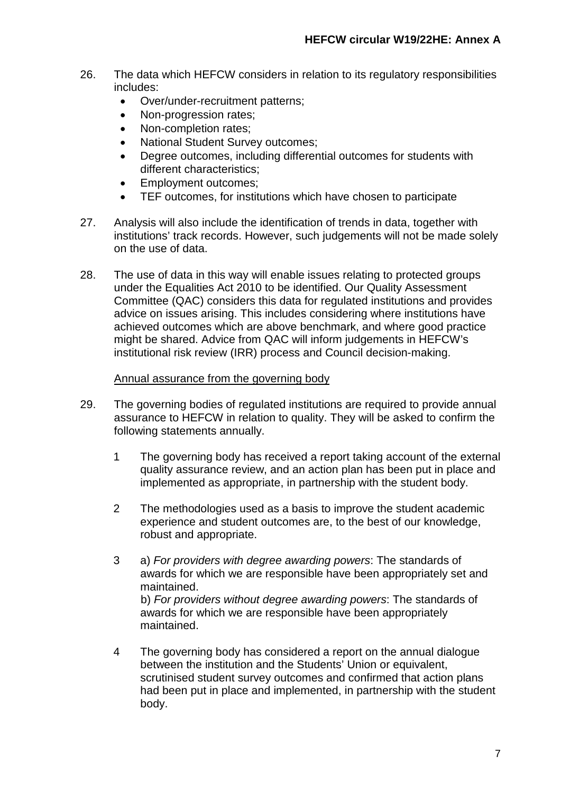- 26. The data which HEFCW considers in relation to its regulatory responsibilities includes:
	- Over/under-recruitment patterns;
	- Non-progression rates;
	- Non-completion rates;
	- National Student Survey outcomes:
	- Degree outcomes, including differential outcomes for students with different characteristics;
	- Employment outcomes;
	- TEF outcomes, for institutions which have chosen to participate
- 27. Analysis will also include the identification of trends in data, together with institutions' track records. However, such judgements will not be made solely on the use of data.
- 28. The use of data in this way will enable issues relating to protected groups under the Equalities Act 2010 to be identified. Our Quality Assessment Committee (QAC) considers this data for regulated institutions and provides advice on issues arising. This includes considering where institutions have achieved outcomes which are above benchmark, and where good practice might be shared. Advice from QAC will inform judgements in HEFCW's institutional risk review (IRR) process and Council decision-making.

#### Annual assurance from the governing body

- 29. The governing bodies of regulated institutions are required to provide annual assurance to HEFCW in relation to quality. They will be asked to confirm the following statements annually.
	- 1 The governing body has received a report taking account of the external quality assurance review, and an action plan has been put in place and implemented as appropriate, in partnership with the student body.
	- 2 The methodologies used as a basis to improve the student academic experience and student outcomes are, to the best of our knowledge, robust and appropriate.
	- 3 a) *For providers with degree awarding powers*: The standards of awards for which we are responsible have been appropriately set and maintained. b) *For providers without degree awarding powers*: The standards of awards for which we are responsible have been appropriately maintained.
	- 4 The governing body has considered a report on the annual dialogue between the institution and the Students' Union or equivalent, scrutinised student survey outcomes and confirmed that action plans had been put in place and implemented, in partnership with the student body.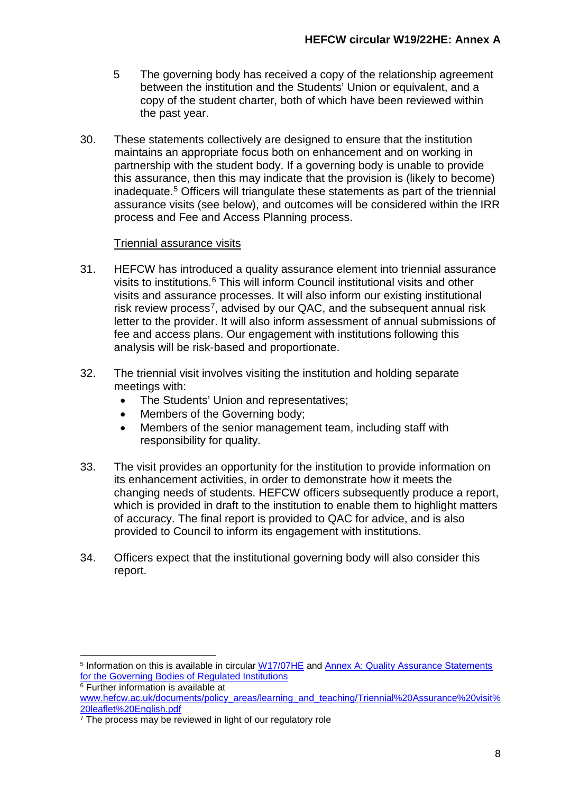- 5 The governing body has received a copy of the relationship agreement between the institution and the Students' Union or equivalent, and a copy of the student charter, both of which have been reviewed within the past year.
- 30. These statements collectively are designed to ensure that the institution maintains an appropriate focus both on enhancement and on working in partnership with the student body. If a governing body is unable to provide this assurance, then this may indicate that the provision is (likely to become) inadequate.[5](#page-8-0) Officers will triangulate these statements as part of the triennial assurance visits (see below), and outcomes will be considered within the IRR process and Fee and Access Planning process.

#### Triennial assurance visits

- 31. HEFCW has introduced a quality assurance element into triennial assurance visits to institutions.[6](#page-8-1) This will inform Council institutional visits and other visits and assurance processes. It will also inform our existing institutional risk review process<sup>[7](#page-8-2)</sup>, advised by our QAC, and the subsequent annual risk letter to the provider. It will also inform assessment of annual submissions of fee and access plans. Our engagement with institutions following this analysis will be risk-based and proportionate.
- 32. The triennial visit involves visiting the institution and holding separate meetings with:
	- The Students' Union and representatives;
	- Members of the Governing body;
	- Members of the senior management team, including staff with responsibility for quality.
- 33. The visit provides an opportunity for the institution to provide information on its enhancement activities, in order to demonstrate how it meets the changing needs of students. HEFCW officers subsequently produce a report, which is provided in draft to the institution to enable them to highlight matters of accuracy. The final report is provided to QAC for advice, and is also provided to Council to inform its engagement with institutions.
- 34. Officers expect that the institutional governing body will also consider this report.

<span id="page-8-0"></span> <sup>5</sup> Information on this is available in circular [W17/07HE](https://www.hefcw.ac.uk/documents/publications/circulars/circulars_2017/W17%2007HE%20Outcomes%20of%20consultation%20on%20governing%20body%20annual%20assurance%20statements%20related%20to%20quality.pdf) and [Annex A: Quality Assurance Statements](https://www.hefcw.ac.uk/documents/publications/circulars/circulars_2017/W17%2007HE%20Annex%20A%20Quality%20Assurance%20Statements%20for%20the%20Governing%20Bodies%20of%20Regulated%20Institutions.pdf)  [for the Governing Bodies of Regulated Institutions](https://www.hefcw.ac.uk/documents/publications/circulars/circulars_2017/W17%2007HE%20Annex%20A%20Quality%20Assurance%20Statements%20for%20the%20Governing%20Bodies%20of%20Regulated%20Institutions.pdf) <sup>6</sup> Further information is available at

<span id="page-8-1"></span>[www.hefcw.ac.uk/documents/policy\\_areas/learning\\_and\\_teaching/Triennial%20Assurance%20visit%](https://www.hefcw.ac.uk/documents/policy_areas/learning_and_teaching/Triennial%20Assurance%20visit%20leaflet%20English.pdf) [20leaflet%20English.pdf](https://www.hefcw.ac.uk/documents/policy_areas/learning_and_teaching/Triennial%20Assurance%20visit%20leaflet%20English.pdf)

<span id="page-8-2"></span> $\frac{7}{7}$  The process may be reviewed in light of our regulatory role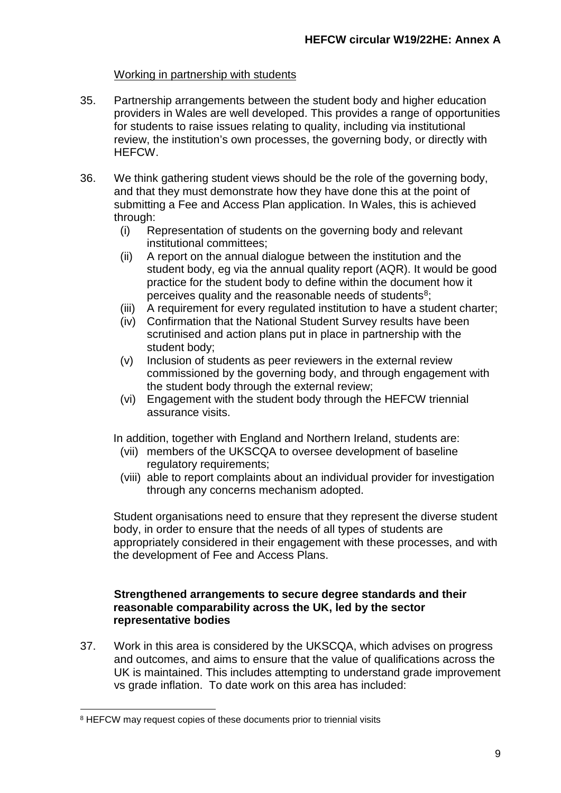#### Working in partnership with students

- 35. Partnership arrangements between the student body and higher education providers in Wales are well developed. This provides a range of opportunities for students to raise issues relating to quality, including via institutional review, the institution's own processes, the governing body, or directly with HEFCW.
- 36. We think gathering student views should be the role of the governing body, and that they must demonstrate how they have done this at the point of submitting a Fee and Access Plan application. In Wales, this is achieved through:
	- (i) Representation of students on the governing body and relevant institutional committees;
	- (ii) A report on the annual dialogue between the institution and the student body, eg via the annual quality report (AQR). It would be good practice for the student body to define within the document how it perceives quality and the reasonable needs of students<sup>8</sup>;
	- (iii) A requirement for every regulated institution to have a student charter;
	- (iv) Confirmation that the National Student Survey results have been scrutinised and action plans put in place in partnership with the student body;
	- (v) Inclusion of students as peer reviewers in the external review commissioned by the governing body, and through engagement with the student body through the external review;
	- (vi) Engagement with the student body through the HEFCW triennial assurance visits.

In addition, together with England and Northern Ireland, students are:

- (vii) members of the UKSCQA to oversee development of baseline regulatory requirements;
- (viii) able to report complaints about an individual provider for investigation through any concerns mechanism adopted.

Student organisations need to ensure that they represent the diverse student body, in order to ensure that the needs of all types of students are appropriately considered in their engagement with these processes, and with the development of Fee and Access Plans.

#### **Strengthened arrangements to secure degree standards and their reasonable comparability across the UK, led by the sector representative bodies**

37. Work in this area is considered by the UKSCQA, which advises on progress and outcomes, and aims to ensure that the value of qualifications across the UK is maintained. This includes attempting to understand grade improvement vs grade inflation. To date work on this area has included:

<span id="page-9-0"></span><sup>&</sup>lt;sup>8</sup> HEFCW may request copies of these documents prior to triennial visits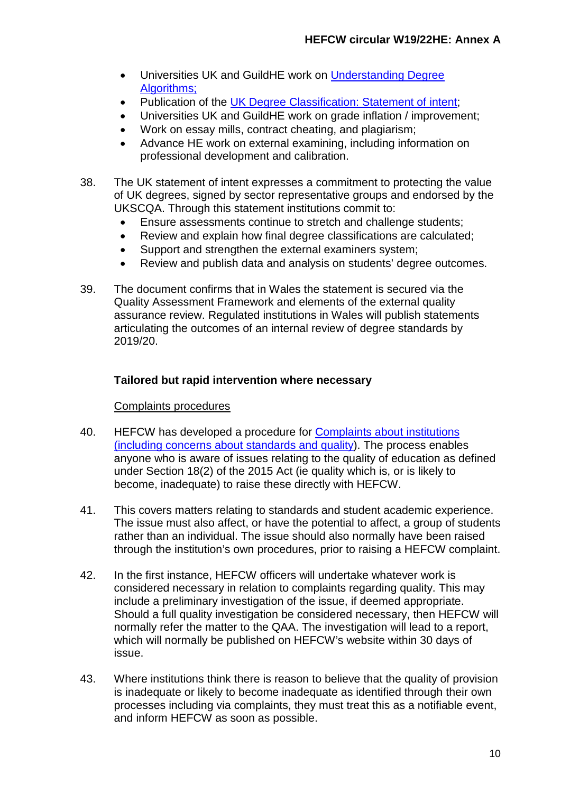- Universities UK and GuildHE work on Understanding Degree [Algorithms;](http://www.universitiesuk.ac.uk/policy-and-analysis/reports/Pages/understanding-degree-algorithms.aspx)
- Publication of the [UK Degree Classification: Statement of intent;](https://www.universitiesuk.ac.uk/policy-and-analysis/reports/Pages/degree-classification-statement-of-intent.aspx)
- Universities UK and GuildHE work on grade inflation / improvement;
- Work on essay mills, contract cheating, and plagiarism;
- Advance HE work on external examining, including information on professional development and calibration.
- 38. The UK statement of intent expresses a commitment to protecting the value of UK degrees, signed by sector representative groups and endorsed by the UKSCQA. Through this statement institutions commit to:
	- Ensure assessments continue to stretch and challenge students;
	- Review and explain how final degree classifications are calculated;
	- Support and strengthen the external examiners system;
	- Review and publish data and analysis on students' degree outcomes.
- 39. The document confirms that in Wales the statement is secured via the Quality Assessment Framework and elements of the external quality assurance review. Regulated institutions in Wales will publish statements articulating the outcomes of an internal review of degree standards by 2019/20.

## **Tailored but rapid intervention where necessary**

#### Complaints procedures

- 40. HEFCW has developed a procedure for [Complaints about institutions](http://www.hefcw.ac.uk/documents/publications/circulars/circulars_2017/W17%2028HE%20Complaints%20against%20HEIs%20procedure%20Annex%20B%20English.pdf)  [\(including concerns about standards and quality\)](http://www.hefcw.ac.uk/documents/publications/circulars/circulars_2017/W17%2028HE%20Complaints%20against%20HEIs%20procedure%20Annex%20B%20English.pdf). The process enables anyone who is aware of issues relating to the quality of education as defined under Section 18(2) of the 2015 Act (ie quality which is, or is likely to become, inadequate) to raise these directly with HEFCW.
- 41. This covers matters relating to standards and student academic experience. The issue must also affect, or have the potential to affect, a group of students rather than an individual. The issue should also normally have been raised through the institution's own procedures, prior to raising a HEFCW complaint.
- 42. In the first instance, HEFCW officers will undertake whatever work is considered necessary in relation to complaints regarding quality. This may include a preliminary investigation of the issue, if deemed appropriate. Should a full quality investigation be considered necessary, then HEFCW will normally refer the matter to the QAA. The investigation will lead to a report, which will normally be published on HEFCW's website within 30 days of issue.
- 43. Where institutions think there is reason to believe that the quality of provision is inadequate or likely to become inadequate as identified through their own processes including via complaints, they must treat this as a notifiable event, and inform HEFCW as soon as possible.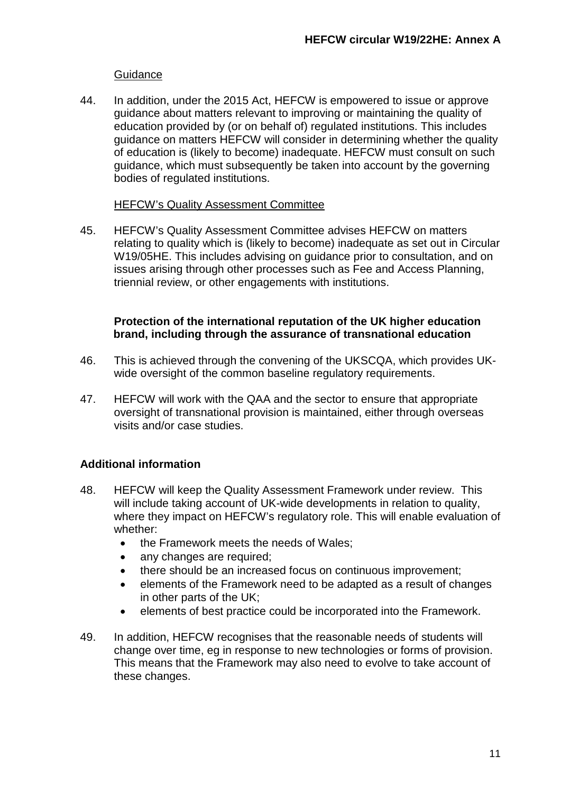#### **Guidance**

44. In addition, under the 2015 Act, HEFCW is empowered to issue or approve guidance about matters relevant to improving or maintaining the quality of education provided by (or on behalf of) regulated institutions. This includes guidance on matters HEFCW will consider in determining whether the quality of education is (likely to become) inadequate. HEFCW must consult on such guidance, which must subsequently be taken into account by the governing bodies of regulated institutions.

#### HEFCW's Quality Assessment Committee

45. HEFCW's Quality Assessment Committee advises HEFCW on matters relating to quality which is (likely to become) inadequate as set out in Circular W19/05HE. This includes advising on guidance prior to consultation, and on issues arising through other processes such as Fee and Access Planning, triennial review, or other engagements with institutions.

#### **Protection of the international reputation of the UK higher education brand, including through the assurance of transnational education**

- 46. This is achieved through the convening of the UKSCQA, which provides UKwide oversight of the common baseline regulatory requirements.
- 47. HEFCW will work with the QAA and the sector to ensure that appropriate oversight of transnational provision is maintained, either through overseas visits and/or case studies.

## **Additional information**

- 48. HEFCW will keep the Quality Assessment Framework under review. This will include taking account of UK-wide developments in relation to quality, where they impact on HEFCW's regulatory role. This will enable evaluation of whether:
	- the Framework meets the needs of Wales;
	- any changes are required;
	- there should be an increased focus on continuous improvement;
	- elements of the Framework need to be adapted as a result of changes in other parts of the UK;
	- elements of best practice could be incorporated into the Framework.
- 49. In addition, HEFCW recognises that the reasonable needs of students will change over time, eg in response to new technologies or forms of provision. This means that the Framework may also need to evolve to take account of these changes.